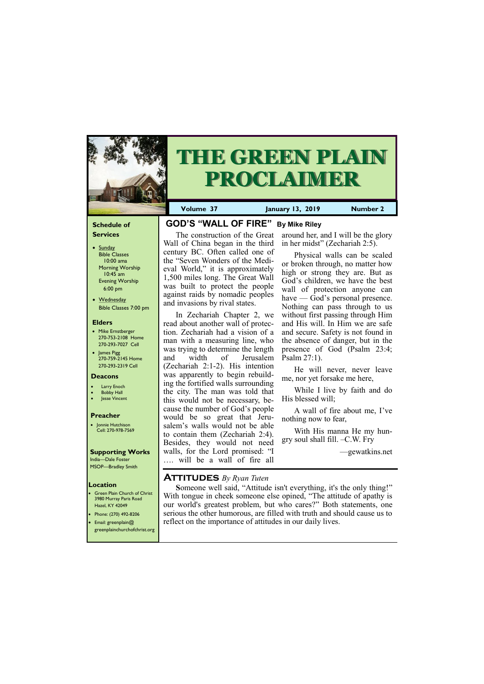#### **Schedule of Services**

- Sunday Bible Classes 10:00 ama Morning Worship 10:45 am Evening Worship 6:00 pm
- Wednesday Bible Classes 7:00 pm

#### **Elders**

**Green Plain Church of Christ** 3980 Murray Paris Road Hazel, KY 42049 • Phone: (270) 492-8206

- Mike Ernstberger 270-753-2108 Home 270-293-7027 Cell
- James Pigg 270-759-2145 Home 270-293-2319 Cell



# **THE GREEN PLAIN PROCLAIMER**

#### **Location**

• Email: greenplain@ greenplainchurchofchrist.org **Volume 37 January 13, 2019 Number 2**

#### **Deacons**

- **Larry Enoch**
- **Bobby Hall**
- Jesse Vincent

#### **Preacher**

• Jonnie Hutchison Cell: 270-978-7569

#### **Supporting Works**

India—Dale Foster MSOP—Bradley Smith

## **GOD'S "WALL OF FIRE" By Mike Riley**

The construction of the Great Wall of China began in the third century BC. Often called one of the "Seven Wonders of the Medieval World," it is approximately 1,500 miles long. The Great Wall was built to protect the people against raids by nomadic peoples and invasions by rival states.

In Zechariah Chapter 2, we read about another wall of protection. Zechariah had a vision of a man with a measuring line, who was trying to determine the length and width of Jerusalem (Zechariah 2:1-2). His intention was apparently to begin rebuilding the fortified walls surrounding the city. The man was told that this would not be necessary, because the number of God's people would be so great that Jerusalem's walls would not be able to contain them (Zechariah 2:4). Besides, they would not need walls, for the Lord promised: "I …. will be a wall of fire all

## around her, and I will be the glory in her midst" (Zechariah 2:5).

Physical walls can be scaled or broken through, no matter how high or strong they are. But as God's children, we have the best wall of protection anyone can have — God's personal presence. Nothing can pass through to us without first passing through Him and His will. In Him we are safe and secure. Safety is not found in the absence of danger, but in the presence of God (Psalm 23:4; Psalm 27:1).

He will never, never leave me, nor yet forsake me here,

While I live by faith and do His blessed will;

A wall of fire about me, I've nothing now to fear,

With His manna He my hungry soul shall fill. –C.W. Fry

—gewatkins.net

## **Attitudes** *By Ryan Tuten*

 **S**omeone well said, "Attitude isn't everything, it's the only thing!" With tongue in cheek someone else opined, "The attitude of apathy is our world's greatest problem, but who cares?" Both statements, one serious the other humorous, are filled with truth and should cause us to

reflect on the importance of attitudes in our daily lives.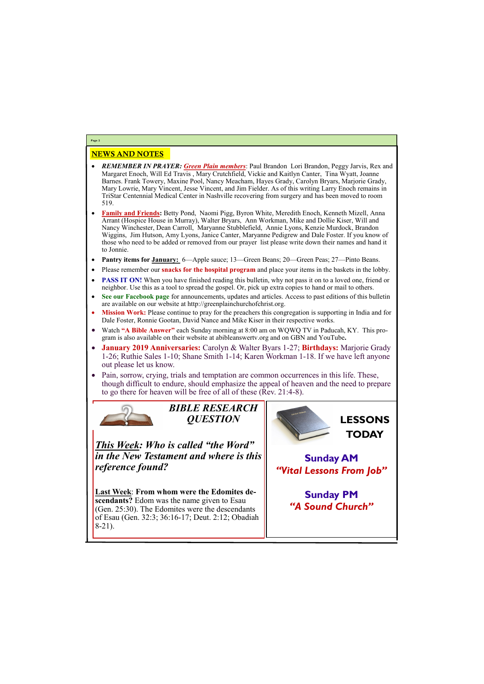### NEWS AND NOTES

- *REMEMBER IN PRAYER: Green Plain members*: Paul Brandon Lori Brandon, Peggy Jarvis, Rex and Margaret Enoch, Will Ed Travis , Mary Crutchfield, Vickie and Kaitlyn Canter, Tina Wyatt, Joanne Barnes. Frank Towery, Maxine Pool, Nancy Meacham, Hayes Grady, Carolyn Bryars, Marjorie Grady, Mary Lowrie, Mary Vincent, Jesse Vincent, and Jim Fielder. As of this writing Larry Enoch remains in TriStar Centennial Medical Center in Nashville recovering from surgery and has been moved to room 519.
- **Family and Friends:** Betty Pond, Naomi Pigg, Byron White, Meredith Enoch, Kenneth Mizell, Anna Arrant (Hospice House in Murray), Walter Bryars, Ann Workman, Mike and Dollie Kiser, Will and Nancy Winchester, Dean Carroll, Maryanne Stubblefield, Annie Lyons, Kenzie Murdock, Brandon Wiggins, Jim Hutson, Amy Lyons, Janice Canter, Maryanne Pedigrew and Dale Foster. If you know of those who need to be added or removed from our prayer list please write down their names and hand it to Jonnie.
- **Pantry items for January:** 6—Apple sauce; 13—Green Beans; 20—Green Peas; 27—Pinto Beans.
- Please remember our **snacks for the hospital program** and place your items in the baskets in the lobby.
- **PASS IT ON!** When you have finished reading this bulletin, why not pass it on to a loved one, friend or neighbor. Use this as a tool to spread the gospel. Or, pick up extra copies to hand or mail to others.
- **See our Facebook page** for announcements, updates and articles. Access to past editions of this bulletin are available on our website at http://greenplainchurchofchrist.org.
- **Mission Work:** Please continue to pray for the preachers this congregation is supporting in India and for Dale Foster, Ronnie Gootan, David Nance and Mike Kiser in their respective works.
- Watch **"A Bible Answer"** each Sunday morning at 8:00 am on WQWQ TV in Paducah, KY. This program is also available on their website at abibleanswertv.org and on GBN and YouTube**.**
- **January 2019 Anniversaries:** Carolyn & Walter Byars 1-27; **Birthdays:** Marjorie Grady 1-26; Ruthie Sales 1-10; Shane Smith 1-14; Karen Workman 1-18. If we have left anyone out please let us know.
- Pain, sorrow, crying, trials and temptation are common occurrences in this life. These, though difficult to endure, should emphasize the appeal of heaven and the need to prepare to go there for heaven will be free of all of these (Rev. 21:4-8).



**Page 2**

*BIBLE RESEARCH QUESTION*

*This Week: Who is called "the Word" in the New Testament and where is this reference found?*

**Last Week**: **From whom were the Edomites descendants?** Edom was the name given to Esau (Gen. 25:30). The Edomites were the descendants

| of Esau (Gen. 32:3; 36:16-17; Deut. 2:12; Obadiah |  |
|---------------------------------------------------|--|
| $ 8-21\rangle$                                    |  |
|                                                   |  |
|                                                   |  |



**Sunday AM** *"Vital Lessons From Job"*

> **Sunday PM** *"A Sound Church"*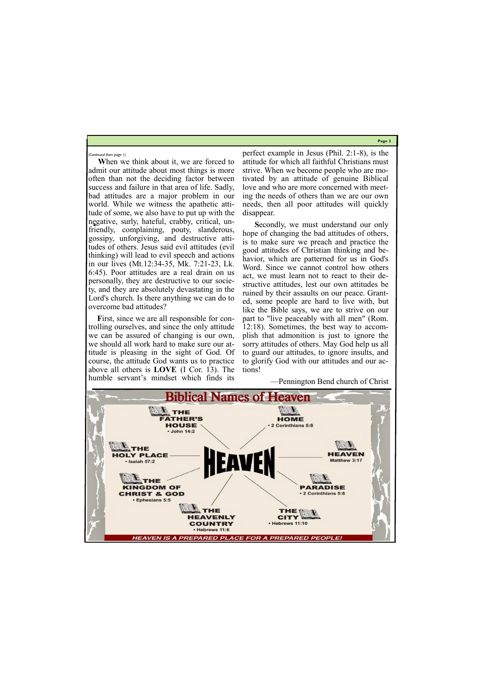**Page 3**

**When we think about it, we are forced to** admit our attitude about most things is more often than not the deciding factor between success and failure in that area of life. Sadly, bad attitudes are a major problem in our world. While we witness the apathetic attitude of some, we also have to put up with the negative, surly, hateful, crabby, critical, unfriendly, complaining, pouty, slanderous, gossipy, unforgiving, and destructive attitudes of others. Jesus said evil attitudes (evil thinking) will lead to evil speech and actions in our lives (Mt.12:34-35, Mk. 7:21-23, Lk. 6:45). Poor attitudes are a real drain on us personally, they are destructive to our society, and they are absolutely devastating in the Lord's church. Is there anything we can do to overcome bad attitudes?

First, since we are all responsible for controlling ourselves, and since the only attitude we can be assured of changing is our own, we should all work hard to make sure our attitude is pleasing in the sight of God. Of course, the attitude God wants us to practice above all others is **LOVE** (I Cor. 13). The humble servant's mindset which finds its

perfect example in Jesus (Phil. 2:1-8), is the attitude for which all faithful Christians must strive. When we become people who are motivated by an attitude of genuine Biblical love and who are more concerned with meeting the needs of others than we are our own needs, then all poor attitudes will quickly disappear.

 **S**econdly, we must understand our only hope of changing the bad attitudes of others, is to make sure we preach and practice the good attitudes of Christian thinking and behavior, which are patterned for us in God's Word. Since we cannot control how others act, we must learn not to react to their destructive attitudes, lest our own attitudes be ruined by their assaults on our peace. Granted, some people are hard to live with, but like the Bible says, we are to strive on our part to "live peaceably with all men" (Rom. 12:18). Sometimes, the best way to accomplish that admonition is just to ignore the sorry attitudes of others. May God help us all to guard our attitudes, to ignore insults, and to glorify God with our attitudes and our actions!

—Pennington Bend church of Christ



*(Continued from page 1)*